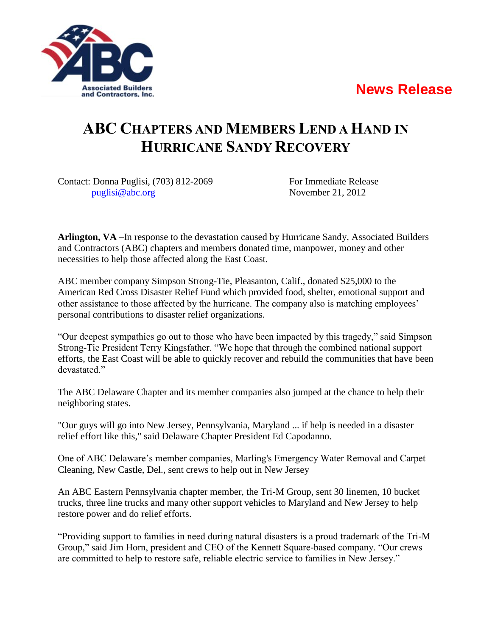## **News Release**



## **ABC CHAPTERS AND MEMBERS LEND A HAND IN HURRICANE SANDY RECOVERY**

Contact: Donna Puglisi, (703) 812-2069 For Immediate Release [puglisi@abc.org](mailto:puglisi@abc.org) November 21, 2012

**Arlington, VA** –In response to the devastation caused by Hurricane Sandy, Associated Builders and Contractors (ABC) chapters and members donated time, manpower, money and other necessities to help those affected along the East Coast.

ABC member company Simpson Strong-Tie, Pleasanton, Calif., donated \$25,000 to the American Red Cross Disaster Relief Fund which provided food, shelter, emotional support and other assistance to those affected by the hurricane. The company also is matching employees' personal contributions to disaster relief organizations.

"Our deepest sympathies go out to those who have been impacted by this tragedy," said Simpson Strong-Tie President Terry Kingsfather. "We hope that through the combined national support efforts, the East Coast will be able to quickly recover and rebuild the communities that have been devastated."

The ABC Delaware Chapter and its member companies also jumped at the chance to help their neighboring states.

"Our guys will go into New Jersey, Pennsylvania, Maryland ... if help is needed in a disaster relief effort like this," said Delaware Chapter President Ed Capodanno.

One of ABC Delaware's member companies, Marling's Emergency Water Removal and Carpet Cleaning, New Castle, Del., sent crews to help out in New Jersey

An ABC Eastern Pennsylvania chapter member, the Tri-M Group, sent 30 linemen, 10 bucket trucks, three line trucks and many other support vehicles to Maryland and New Jersey to help restore power and do relief efforts.

"Providing support to families in need during natural disasters is a proud trademark of the Tri-M Group," said Jim Horn, president and CEO of the Kennett Square-based company. "Our crews are committed to help to restore safe, reliable electric service to families in New Jersey."